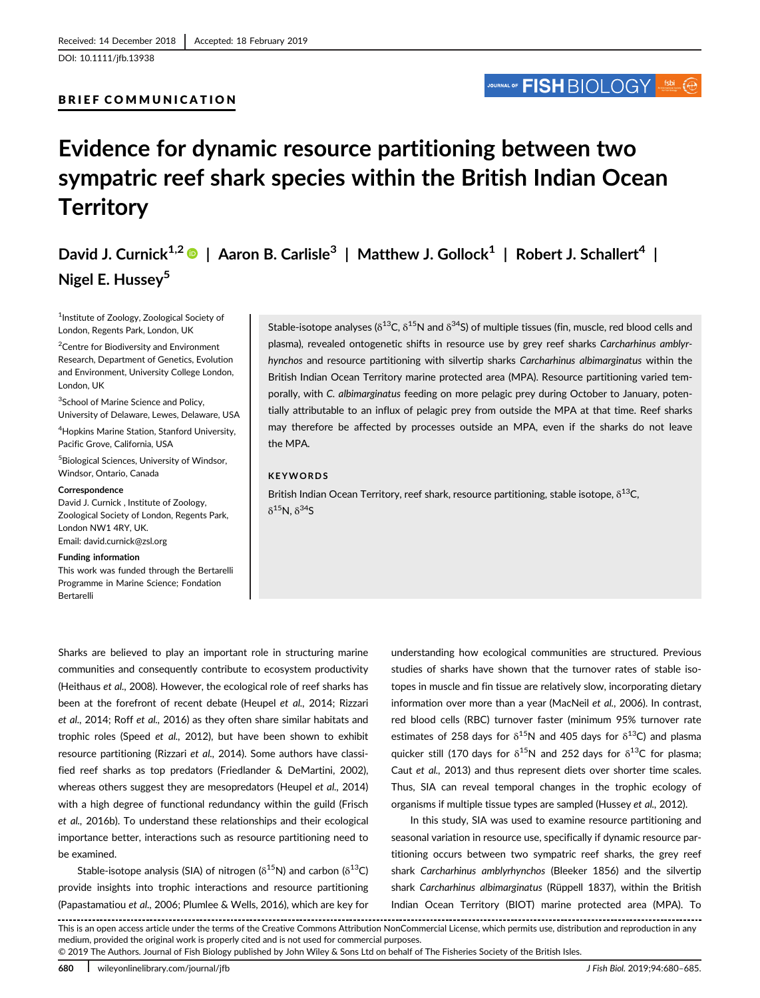BRIEF COMMUNICATION

DOI: 10.1111/jfb.13938

# JOURNAL OF **FISH** BIOLOGY

# Evidence for dynamic resource partitioning between two sympatric reef shark species within the British Indian Ocean **Territory**

David J. Curnick<sup>1,2</sup> | Aaron B. Carlisle<sup>3</sup> | Matthew J. Gollock<sup>1</sup> | Robert J. Schallert<sup>4</sup> | Nigel E. Hussey<sup>5</sup>

1 Institute of Zoology, Zoological Society of London, Regents Park, London, UK

<sup>2</sup> Centre for Biodiversity and Environment Research, Department of Genetics, Evolution and Environment, University College London, London, UK

<sup>3</sup>School of Marine Science and Policy, University of Delaware, Lewes, Delaware, USA

4 Hopkins Marine Station, Stanford University, Pacific Grove, California, USA

5 Biological Sciences, University of Windsor, Windsor, Ontario, Canada

#### **Correspondence**

David J. Curnick , Institute of Zoology, Zoological Society of London, Regents Park, London NW1 4RY, UK. Email: [david.curnick@zsl.org](mailto:david.curnick@zsl.org)

#### Funding information

This work was funded through the Bertarelli Programme in Marine Science; Fondation Bertarelli

Stable-isotope analyses ( $\delta^{13}C$ ,  $\delta^{15}N$  and  $\delta^{34}S$ ) of multiple tissues (fin, muscle, red blood cells and plasma), revealed ontogenetic shifts in resource use by grey reef sharks Carcharhinus amblyrhynchos and resource partitioning with silvertip sharks Carcharhinus albimarginatus within the British Indian Ocean Territory marine protected area (MPA). Resource partitioning varied temporally, with C. albimarginatus feeding on more pelagic prey during October to January, potentially attributable to an influx of pelagic prey from outside the MPA at that time. Reef sharks may therefore be affected by processes outside an MPA, even if the sharks do not leave the MPA.

# **KEYWORDS**

British Indian Ocean Territory, reef shark, resource partitioning, stable isotope,  $\delta^{13}C$ ,  $δ<sup>15</sup>N, δ<sup>34</sup>S$ 

Sharks are believed to play an important role in structuring marine communities and consequently contribute to ecosystem productivity (Heithaus et al., 2008). However, the ecological role of reef sharks has been at the forefront of recent debate (Heupel et al., 2014; Rizzari et al., 2014; Roff et al., 2016) as they often share similar habitats and trophic roles (Speed et al., 2012), but have been shown to exhibit resource partitioning (Rizzari et al., 2014). Some authors have classified reef sharks as top predators (Friedlander & DeMartini, 2002), whereas others suggest they are mesopredators (Heupel et al., 2014) with a high degree of functional redundancy within the guild (Frisch et al., 2016b). To understand these relationships and their ecological importance better, interactions such as resource partitioning need to be examined.

Stable-isotope analysis (SIA) of nitrogen ( $\delta^{15}$ N) and carbon ( $\delta^{13}$ C) provide insights into trophic interactions and resource partitioning (Papastamatiou et al., 2006; Plumlee & Wells, 2016), which are key for

understanding how ecological communities are structured. Previous studies of sharks have shown that the turnover rates of stable isotopes in muscle and fin tissue are relatively slow, incorporating dietary information over more than a year (MacNeil et al., 2006). In contrast, red blood cells (RBC) turnover faster (minimum 95% turnover rate estimates of 258 days for  $\delta^{15}N$  and 405 days for  $\delta^{13}C$ ) and plasma quicker still (170 days for  $\delta^{15}N$  and 252 days for  $\delta^{13}C$  for plasma; Caut et al., 2013) and thus represent diets over shorter time scales. Thus, SIA can reveal temporal changes in the trophic ecology of organisms if multiple tissue types are sampled (Hussey et al., 2012).

In this study, SIA was used to examine resource partitioning and seasonal variation in resource use, specifically if dynamic resource partitioning occurs between two sympatric reef sharks, the grey reef shark Carcharhinus amblyrhynchos (Bleeker 1856) and the silvertip shark Carcharhinus albimarginatus (Rüppell 1837), within the British Indian Ocean Territory (BIOT) marine protected area (MPA). To

This is an open access article under the terms of the [Creative Commons Attribution](http://creativecommons.org/licenses/by/4.0/) NonCommercial License, which permits use, distribution and reproduction in any medium, provided the original work is properly cited and is not used for commercial purposes.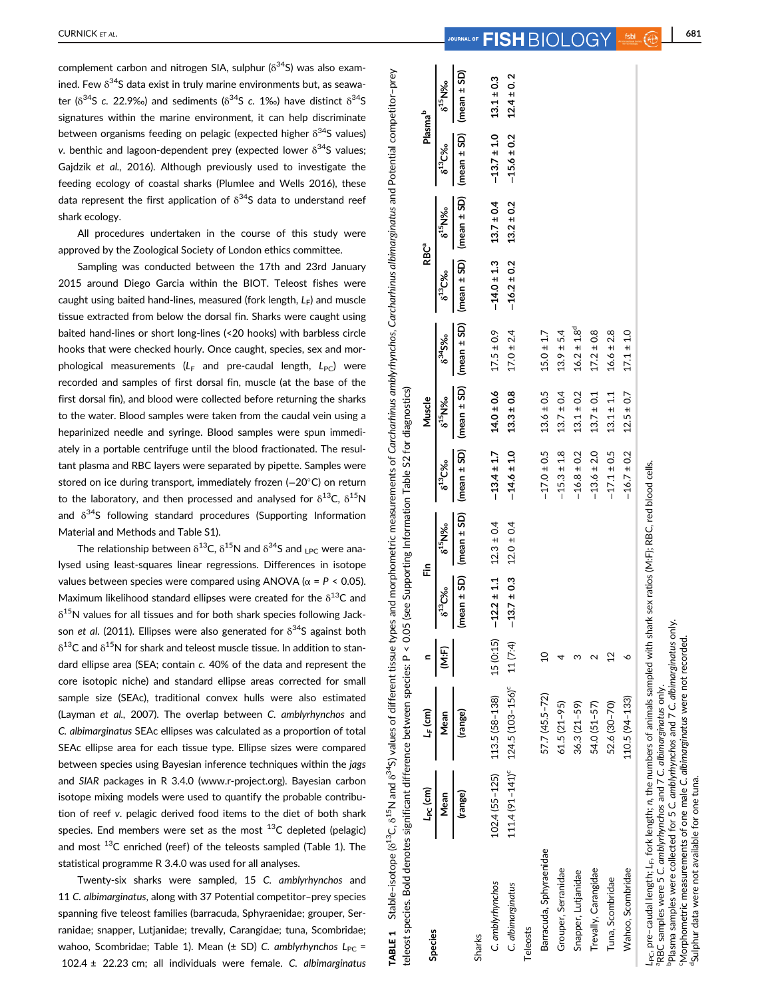complement carbon and nitrogen SIA, sulphur ( $\delta^{34}$ S) was also examined. Few  $\delta^{34}$ S data exist in truly marine environments but, as seawater ( $\delta^{34}$ S c. 22.9‰) and sediments ( $\delta^{34}$ S c. 1‰) have distinct  $\delta^{34}$ S signatures within the marine environment, it can help discriminate between organisms feeding on pelagic (expected higher  $\delta^{34}$ S values) v. benthic and lagoon-dependent prey (expected lower  $\delta^{34}$ S values: Gajdzik et al., 2016). Although previously used to investigate the feeding ecology of coastal sharks (Plumlee and Wells 2016), these data represent the first application of  $\delta^{34}$ S data to understand reef shark ecology.

All procedures undertaken in the course of this study were approved by the Zoological Society of London ethics committee.

Sampling was conducted between the 17th and 23rd January 2015 around Diego Garcia within the BIOT. Teleost fishes were caught using baited hand-lines, measured (fork length,  $L_F$ ) and muscle tissue extracted from below the dorsal fin. Sharks were caught using baited hand-lines or short long-lines (<20 hooks) with barbless circle hooks that were checked hourly. Once caught, species, sex and morphological measurements ( $L_F$  and pre-caudal length,  $L_{PC}$ ) were recorded and samples of first dorsal fin, muscle (at the base of the first dorsal fin), and blood were collected before returning the sharks to the water. Blood samples were taken from the caudal vein using a heparinized needle and syringe. Blood samples were spun immediately in a portable centrifuge until the blood fractionated. The resultant plasma and RBC layers were separated by pipette. Samples were stored on ice during transport, immediately frozen (−20°C) on return to the laboratory, and then processed and analysed for  $\delta^{13}C$ ,  $\delta^{15}N$ and  $\delta^{34}$ S following standard procedures (Supporting Information Material and Methods and Table S1).

The relationship between  $\delta^{13}$ C,  $\delta^{15}$ N and  $\delta^{34}$ S and <sub>LPC</sub> were analysed using least-squares linear regressions. Differences in isotope values between species were compared using ANOVA ( $\alpha$  = P < 0.05). Maximum likelihood standard ellipses were created for the  $\delta^{13}C$  and  $\delta^{15}$ N values for all tissues and for both shark species following Jackson et al. (2011). Ellipses were also generated for  $\delta^{34}$ S against both  $\delta^{13}$ C and  $\delta^{15}$ N for shark and teleost muscle tissue. In addition to standard ellipse area (SEA; contain c. 40% of the data and represent the core isotopic niche) and standard ellipse areas corrected for small sample size (SEAc), traditional convex hulls were also estimated (Layman et al., 2007). The overlap between C. amblyrhynchos and C. albimarginatus SEAc ellipses was calculated as a proportion of total SEAc ellipse area for each tissue type. Ellipse sizes were compared between species using Bayesian inference techniques within the jags and SIAR packages in R 3.4.0 [\(www.r-project.org](http://www.r-project.org)). Bayesian carbon isotope mixing models were used to quantify the probable contribution of reef v. pelagic derived food items to the diet of both shark species. End members were set as the most  $^{13}$ C depleted (pelagic) and most  $^{13}$ C enriched (reef) of the teleosts sampled (Table 1). The statistical programme R 3.4.0 was used for all analyses.

Twenty-six sharks were sampled, 15 C. amblyrhynchos and 11 C. albimarginatus, along with 37 Potential competitor–prey species spanning five teleost families (barracuda, Sphyraenidae; grouper, Serranidae; snapper, Lutjanidae; trevally, Carangidae; tuna, Scombridae; wahoo, Scombridae; Table 1). Mean ( $\pm$  SD) C. amblyrhynchos  $L_{PC}$  = 102.4 ± 22.23 cm; all individuals were female. C. albimarginatus

TABLE 1 Stable-isotope (6<sup>13</sup>C, 6<sup>15</sup>N and 6<sup>34</sup>S) values of different tissue types and morphometric measurements of Carcharhinus amblyrhynchos, Carcharhinus albimarginatus and Potential competitor-prey TABLE 1 Stable–isotope (δ<sup>13</sup>C, δ<sup>15</sup>N and δ<sup>34</sup>S) values of different tissue types and morphometric measurements of Carcharhinus amblyrhynchos, Carcharhinus albimarginatus and Potential competitor–prey P < 0.05 (see Supporting Information Table S2 for diagnostics) teleost species. Bold denotes significant difference between species: P < 0.05 (see Supporting Information Table S2 for diagnostics) teleost species. Bold denotes significant difference between species:

| ייטונים באריכן בין הארבות הייטונים בארבות הייטונים בין הייטונים בין הייטונים הייטונים בין לכל הייטונים הייטוני<br>הייטונים הייטונים בין הייטונים בין הייטונים בין הייטונים בין הייטונים בין הייטונים בין הייטונים בין הייטונים ב<br><b>Species</b>                                                                                                                                                                                           | $L_{PC}$ (cm) | $L_F$ (cm)                                                        |                | i                  |                |                                 | Muscle         |                             | <b>RBCª</b>                     |                | Plasma <sup>b</sup> |                |
|----------------------------------------------------------------------------------------------------------------------------------------------------------------------------------------------------------------------------------------------------------------------------------------------------------------------------------------------------------------------------------------------------------------------------------------------|---------------|-------------------------------------------------------------------|----------------|--------------------|----------------|---------------------------------|----------------|-----------------------------|---------------------------------|----------------|---------------------|----------------|
|                                                                                                                                                                                                                                                                                                                                                                                                                                              | Mean          | Mean                                                              | ίΗ)            | 6 <sup>13</sup> C% | $6^{15}$ N%    | $6^{13}C%$                      | $6^{45}N\%$    | $6^{34}$ 5%                 | $6^{13}C$ %                     | $6^{15}N\%$    | $6^{13}C%$          | $6^{45}N\%$    |
|                                                                                                                                                                                                                                                                                                                                                                                                                                              | (range)       | (range)                                                           |                | (mean ± SD)        | (mean ± SD)    | (mean $\pm$ SD) (mean $\pm$ SD) |                | (mean ± SD)                 | $(mean \pm SD)$ $(mean \pm SD)$ |                | $(mean \pm SD)$     | (mean ± SD)    |
| Sharks                                                                                                                                                                                                                                                                                                                                                                                                                                       |               |                                                                   |                |                    |                |                                 |                |                             |                                 |                |                     |                |
| C. amblyrhynchos                                                                                                                                                                                                                                                                                                                                                                                                                             |               | 102.4 (55-125)  113.5 (58-138)                                    | 15(0:15)       | $-12.2 \pm 1.1$    | $12.3 \pm 0.4$ | $-13.4 \pm 1.7$                 | $14.0 \pm 0.6$ | $17.5 \pm 0.9$              | $-14.0 \pm 1.3$ $13.7 \pm 0.4$  |                | $-13.7 \pm 1.0$     | $13.1 \pm 0.3$ |
| C. albimarginatus                                                                                                                                                                                                                                                                                                                                                                                                                            |               | 111.4 (91-141) <sup>c</sup> 124.5 (103-156) <sup>c</sup> 11 (7:4) |                | $-13.7 \pm 0.3$    | $12.0 \pm 0.4$ | $-14.6 \pm 1.0$                 | $13.3 \pm 0.8$ | $17.0 \pm 2.4$              | $-16.2 \pm 0.2$                 | $13.2 \pm 0.2$ | $-15.6 \pm 0.2$     | $12.4 \pm 0.2$ |
| Teleosts                                                                                                                                                                                                                                                                                                                                                                                                                                     |               |                                                                   |                |                    |                |                                 |                |                             |                                 |                |                     |                |
| Barracuda, Sphyraenidae                                                                                                                                                                                                                                                                                                                                                                                                                      |               | $57.7(45.5 - 72)$                                                 | $\overline{a}$ |                    |                | $-17.0 \pm 0.5$                 | $13.6 \pm 0.5$ | $15.0 \pm 1.7$              |                                 |                |                     |                |
| Grouper, Serranidae                                                                                                                                                                                                                                                                                                                                                                                                                          |               | $61.5(21 - 95)$                                                   |                |                    |                | $-15.3 \pm 1.8$                 | $13.7 \pm 0.4$ | $13.9 \pm 5.4$              |                                 |                |                     |                |
| Snapper, Lutjanidae                                                                                                                                                                                                                                                                                                                                                                                                                          |               | $36.3(21 - 59)$                                                   |                |                    |                | $-16.8 \pm 0.2$                 | $13.1 \pm 0.2$ | $16.2 \pm 1.8$ <sup>d</sup> |                                 |                |                     |                |
| Trevally, Carangidae                                                                                                                                                                                                                                                                                                                                                                                                                         |               | 54.0 (51-57)                                                      |                |                    |                | $-13.6 \pm 2.0$                 | $13.7 \pm 0.1$ | $17.2 \pm 0.8$              |                                 |                |                     |                |
| Tuna, Scombridae                                                                                                                                                                                                                                                                                                                                                                                                                             |               | 52.6 (30-70)                                                      | $^{12}$        |                    |                | $-17.1 \pm 0.5$                 | $13.1 \pm 1.1$ | $16.6 \pm 2.8$              |                                 |                |                     |                |
| Wahoo, Scombridae                                                                                                                                                                                                                                                                                                                                                                                                                            |               | $110.5(94 - 133)$                                                 | ٥              |                    |                | $-16.7 \pm 0.2$                 | $12.5 \pm 0.7$ | $17.1 \pm 1.0$              |                                 |                |                     |                |
| $L_{\rm PC}$ , pre-caudal length; $L_{\rm F}$ fork length; $n,$ the numbers of animals sampled with shark sex ratios (M:F); RBC, red blood cells.<br>Plasma samples were collected for 5 C. amblyrhynchos and 7 C. albimarginatus only.<br>'Morphometric measurements of one male C. albimarginatus were not recorded<br>RBC samples were 5 C. amblyrhynchos and 7 C. albimarginatus only.<br>"Sulphur data were not available for one tuna. |               |                                                                   |                |                    |                |                                 |                |                             |                                 |                |                     |                |

<sup>d</sup>Sulphur data were not available for one tuna.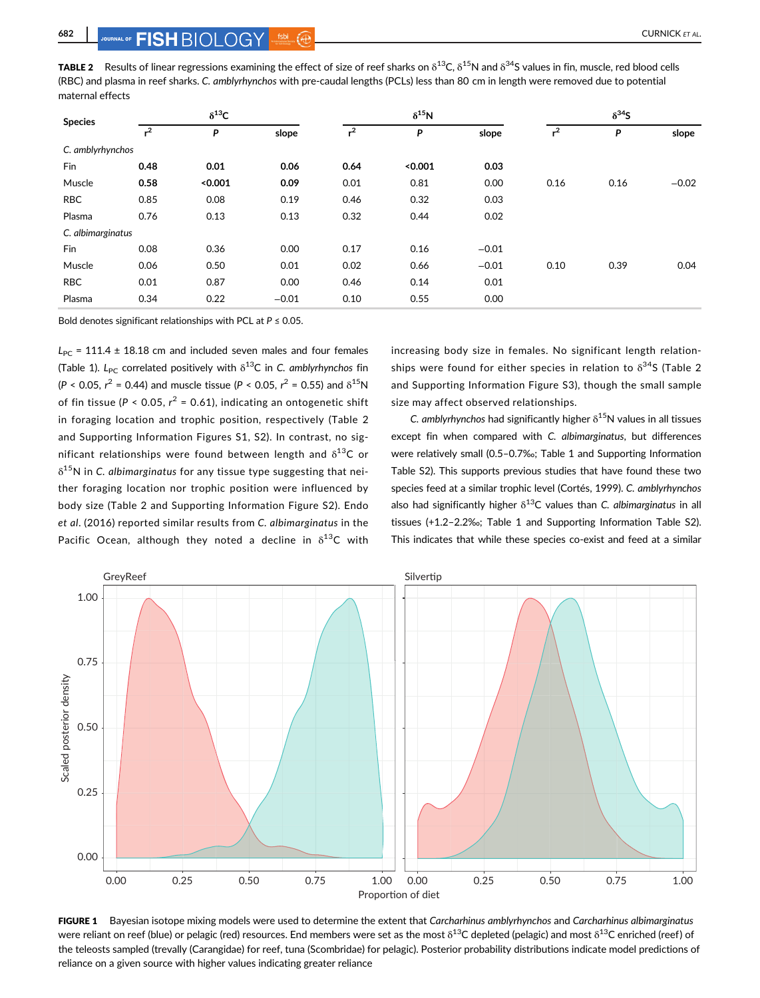**TABLE 2** Results of linear regressions examining the effect of size of reef sharks on  $\delta^{13}C$ ,  $\delta^{15}N$  and  $\delta^{34}S$  values in fin, muscle, red blood cells (RBC) and plasma in reef sharks. C. amblyrhynchos with pre-caudal lengths (PCLs) less than 80 cm in length were removed due to potential maternal effects

| <b>Species</b>    | $\delta^{13}C$ |         |         | $\delta^{15}N$ |         |         | $\delta^{34}S$ |      |         |
|-------------------|----------------|---------|---------|----------------|---------|---------|----------------|------|---------|
|                   | $r^2$          | P       | slope   | $r^2$          | P       | slope   | $r^2$          | P    | slope   |
| C. amblyrhynchos  |                |         |         |                |         |         |                |      |         |
| Fin               | 0.48           | 0.01    | 0.06    | 0.64           | < 0.001 | 0.03    |                |      |         |
| Muscle            | 0.58           | < 0.001 | 0.09    | 0.01           | 0.81    | 0.00    | 0.16           | 0.16 | $-0.02$ |
| <b>RBC</b>        | 0.85           | 0.08    | 0.19    | 0.46           | 0.32    | 0.03    |                |      |         |
| Plasma            | 0.76           | 0.13    | 0.13    | 0.32           | 0.44    | 0.02    |                |      |         |
| C. albimarginatus |                |         |         |                |         |         |                |      |         |
| Fin               | 0.08           | 0.36    | 0.00    | 0.17           | 0.16    | $-0.01$ |                |      |         |
| Muscle            | 0.06           | 0.50    | 0.01    | 0.02           | 0.66    | $-0.01$ | 0.10           | 0.39 | 0.04    |
| <b>RBC</b>        | 0.01           | 0.87    | 0.00    | 0.46           | 0.14    | 0.01    |                |      |         |
| Plasma            | 0.34           | 0.22    | $-0.01$ | 0.10           | 0.55    | 0.00    |                |      |         |
|                   |                |         |         |                |         |         |                |      |         |

Bold denotes significant relationships with PCL at  $P \le 0.05$ .

 $L_{PC}$  = 111.4 ± 18.18 cm and included seven males and four females (Table 1). L<sub>PC</sub> correlated positively with  $\delta^{13}$ C in C. amblyrhynchos fin  $(P < 0.05, r^2 = 0.44)$  and muscle tissue  $(P < 0.05, r^2 = 0.55)$  and  $\delta^{15}N$ of fin tissue ( $P < 0.05$ ,  $r^2 = 0.61$ ), indicating an ontogenetic shift in foraging location and trophic position, respectively (Table 2 and Supporting Information Figures S1, S2). In contrast, no significant relationships were found between length and  $\delta^{13}C$  or  $\delta^{15}$ N in C. albimarginatus for any tissue type suggesting that neither foraging location nor trophic position were influenced by body size (Table 2 and Supporting Information Figure S2). Endo et al. (2016) reported similar results from C. albimarginatus in the Pacific Ocean, although they noted a decline in  $\delta^{13}$ C with

increasing body size in females. No significant length relationships were found for either species in relation to  $\delta^{34}$ S (Table 2 and Supporting Information Figure S3), though the small sample size may affect observed relationships.

C. amblyrhynchos had significantly higher  $\delta^{15}N$  values in all tissues except fin when compared with C. albimarginatus, but differences were relatively small (0.5–0.7‰; Table 1 and Supporting Information Table S2). This supports previous studies that have found these two species feed at a similar trophic level (Cortés, 1999). C. amblyrhynchos also had significantly higher  $\delta^{13}$ C values than C. albimarginatus in all tissues (+1.2–2.2‰; Table 1 and Supporting Information Table S2). This indicates that while these species co-exist and feed at a similar



FIGURE 1 Bayesian isotope mixing models were used to determine the extent that Carcharhinus amblyrhynchos and Carcharhinus albimarginatus were reliant on reef (blue) or pelagic (red) resources. End members were set as the most  $\delta^{13}$ C depleted (pelagic) and most  $\delta^{13}$ C enriched (reef) of the teleosts sampled (trevally (Carangidae) for reef, tuna (Scombridae) for pelagic). Posterior probability distributions indicate model predictions of reliance on a given source with higher values indicating greater reliance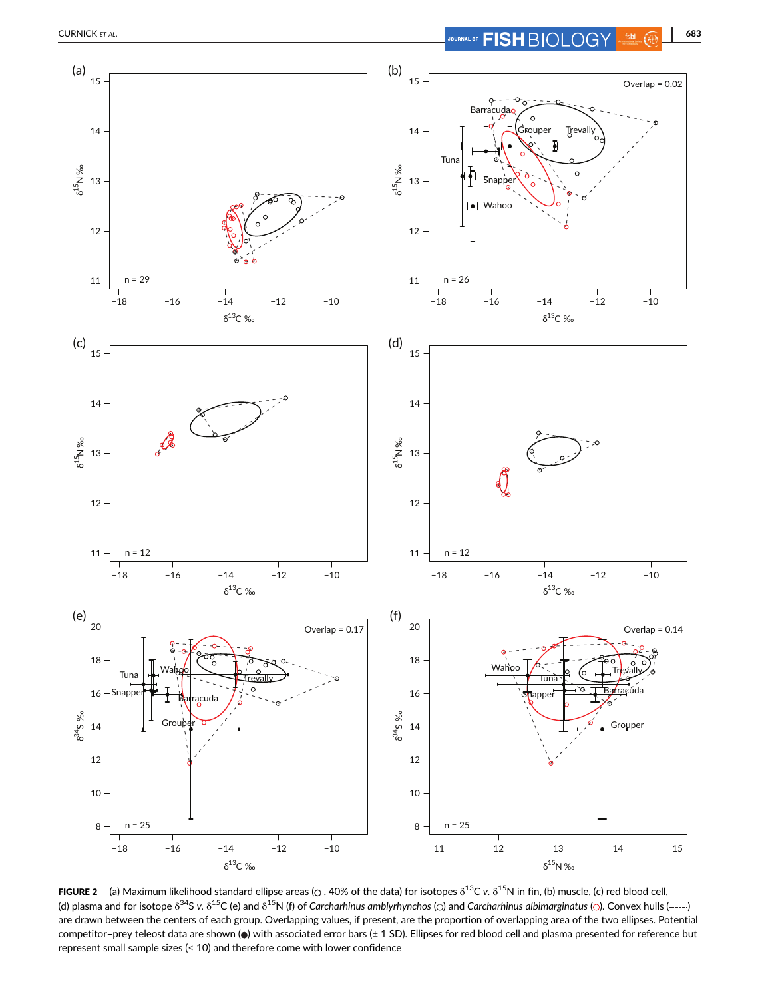

**FIGURE 2** (a) Maximum likelihood standard ellipse areas ( $\circ$ , 40% of the data) for isotopes  $\delta^{13}$ C v.  $\delta^{15}$ N in fin, (b) muscle, (c) red blood cell, (d) plasma and for isotope  $\delta^{34}S$  v.  $\delta^{15}S$  (e) and  $\delta^{15}N$  (f) of Carcharhinus amblyrhynchos ( $\odot$ ) and Carcharhinus albimarginatus ( $\odot$ ). Convex hulls (------) are drawn between the centers of each group. Overlapping values, if present, are the proportion of overlapping area of the two ellipses. Potential competitor–prey teleost data are shown (.) with associated error bars (± 1 SD). Ellipses for red blood cell and plasma presented for reference but represent small sample sizes (< 10) and therefore come with lower confidence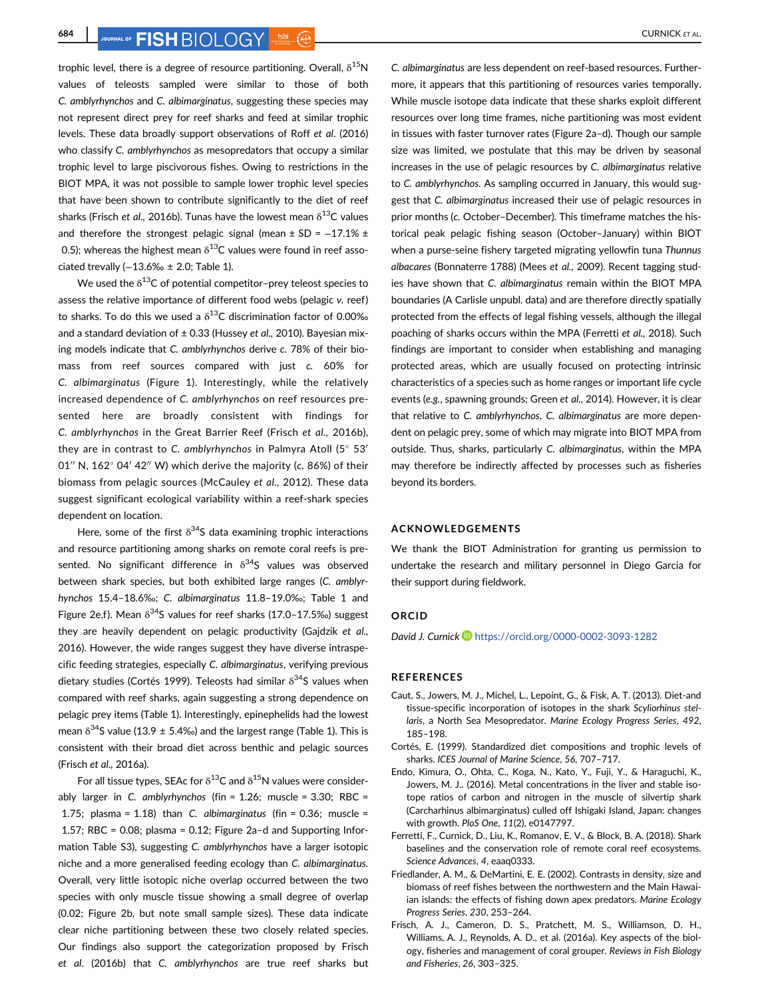**684 CURNICK ET AL.** JOURNICK ET AL.

trophic level, there is a degree of resource partitioning. Overall,  $\delta^{15}N$ values of teleosts sampled were similar to those of both C. amblyrhynchos and C. albimarginatus, suggesting these species may not represent direct prey for reef sharks and feed at similar trophic levels. These data broadly support observations of Roff et al. (2016) who classify C. amblyrhynchos as mesopredators that occupy a similar trophic level to large piscivorous fishes. Owing to restrictions in the BIOT MPA, it was not possible to sample lower trophic level species that have been shown to contribute significantly to the diet of reef sharks (Frisch et al., 2016b). Tunas have the lowest mean  $\delta^{13}$ C values and therefore the strongest pelagic signal (mean  $\pm$  SD = -17.1%  $\pm$ 0.5); whereas the highest mean  $\delta^{13}$ C values were found in reef associated trevally (−13.6‰ ± 2.0; Table 1).

We used the  $\delta^{13}$ C of potential competitor-prey teleost species to assess the relative importance of different food webs (pelagic v. reef) to sharks. To do this we used a  $\delta^{13}$ C discrimination factor of 0.00% and a standard deviation of  $\pm$  0.33 (Hussey et al., 2010). Bayesian mixing models indicate that C. amblyrhynchos derive c. 78% of their biomass from reef sources compared with just c. 60% for C. albimarginatus (Figure 1). Interestingly, while the relatively increased dependence of C. amblyrhynchos on reef resources presented here are broadly consistent with findings for C. amblyrhynchos in the Great Barrier Reef (Frisch et al., 2016b), they are in contrast to C. amblyrhynchos in Palmyra Atoll  $(5^{\circ} 53'$  $(5^{\circ} 53'$  $(5^{\circ} 53'$  $(5^{\circ} 53'$  $(5^{\circ} 53'$ [01](https://tools.wmflabs.org/geohack/geohack.php?pagename=Palmyra_Atollandparams=5_53_1_N_162_4_42_W_type:city)" N,  $162^{\circ}$  [04](https://tools.wmflabs.org/geohack/geohack.php?pagename=Palmyra_Atollandparams=5_53_1_N_162_4_42_W_type:city)' [42](https://tools.wmflabs.org/geohack/geohack.php?pagename=Palmyra_Atollandparams=5_53_1_N_162_4_42_W_type:city)" [W\)](https://tools.wmflabs.org/geohack/geohack.php?pagename=Palmyra_Atollandparams=5_53_1_N_162_4_42_W_type:city) which derive the majority (c. 86%) of their biomass from pelagic sources (McCauley et al., 2012). These data suggest significant ecological variability within a reef-shark species dependent on location.

Here, some of the first  $\delta^{34}$ S data examining trophic interactions and resource partitioning among sharks on remote coral reefs is presented. No significant difference in  $\delta^{34}$ S values was observed between shark species, but both exhibited large ranges (C. amblyrhynchos 15.4–18.6‰; C. albimarginatus 11.8–19.0‰; Table 1 and Figure 2e,f). Mean  $\delta^{34}$ S values for reef sharks (17.0–17.5‰) suggest they are heavily dependent on pelagic productivity (Gajdzik et al., 2016). However, the wide ranges suggest they have diverse intraspecific feeding strategies, especially C. albimarginatus, verifying previous dietary studies (Cortés 1999). Teleosts had similar  $\delta^{34}$ S values when compared with reef sharks, again suggesting a strong dependence on pelagic prey items (Table 1). Interestingly, epinephelids had the lowest mean  $\delta^{34}$ S value (13.9 ± 5.4‰) and the largest range (Table 1). This is consistent with their broad diet across benthic and pelagic sources (Frisch et al., 2016a).

For all tissue types, SEAc for  $\delta^{13}$ C and  $\delta^{15}$ N values were considerably larger in C. amblyrhynchos (fin =  $1.26$ ; muscle =  $3.30$ ; RBC = 1.75; plasma = 1.18) than C. albimarginatus (fin =  $0.36$ ; muscle = 1.57; RBC = 0.08; plasma = 0.12; Figure 2a–d and Supporting Information Table S3), suggesting C. amblyrhynchos have a larger isotopic niche and a more generalised feeding ecology than C. albimarginatus. Overall, very little isotopic niche overlap occurred between the two species with only muscle tissue showing a small degree of overlap (0.02; Figure 2b, but note small sample sizes). These data indicate clear niche partitioning between these two closely related species. Our findings also support the categorization proposed by Frisch et al. (2016b) that C. amblyrhynchos are true reef sharks but C. albimarginatus are less dependent on reef-based resources. Furthermore, it appears that this partitioning of resources varies temporally. While muscle isotope data indicate that these sharks exploit different resources over long time frames, niche partitioning was most evident in tissues with faster turnover rates (Figure 2a–d). Though our sample size was limited, we postulate that this may be driven by seasonal increases in the use of pelagic resources by C. albimarginatus relative to C. amblyrhynchos. As sampling occurred in January, this would suggest that C. albimarginatus increased their use of pelagic resources in prior months (c. October–December). This timeframe matches the historical peak pelagic fishing season (October–January) within BIOT when a purse-seine fishery targeted migrating yellowfin tuna Thunnus albacares (Bonnaterre 1788) (Mees et al., 2009). Recent tagging studies have shown that C. albimarginatus remain within the BIOT MPA boundaries (A Carlisle unpubl. data) and are therefore directly spatially protected from the effects of legal fishing vessels, although the illegal poaching of sharks occurs within the MPA (Ferretti et al., 2018). Such findings are important to consider when establishing and managing protected areas, which are usually focused on protecting intrinsic characteristics of a species such as home ranges or important life cycle events (e.g., spawning grounds; Green et al., 2014). However, it is clear that relative to C. amblyrhynchos, C. albimarginatus are more dependent on pelagic prey, some of which may migrate into BIOT MPA from outside. Thus, sharks, particularly C. albimarginatus, within the MPA may therefore be indirectly affected by processes such as fisheries beyond its borders.

# ACKNOWLEDGEMENTS

We thank the BIOT Administration for granting us permission to undertake the research and military personnel in Diego Garcia for their support during fieldwork.

#### ORCID

David J. Curnick <https://orcid.org/0000-0002-3093-1282>

### REFERENCES

- Caut, S., Jowers, M. J., Michel, L., Lepoint, G., & Fisk, A. T. (2013). Diet-and tissue-specific incorporation of isotopes in the shark Scyliorhinus stellaris, a North Sea Mesopredator. Marine Ecology Progress Series, 492, 185–198.
- Cortés, E. (1999). Standardized diet compositions and trophic levels of sharks. ICES Journal of Marine Science, 56, 707–717.
- Endo, Kimura, O., Ohta, C., Koga, N., Kato, Y., Fuji, Y., & Haraguchi, K., Jowers, M. J.. (2016). Metal concentrations in the liver and stable isotope ratios of carbon and nitrogen in the muscle of silvertip shark (Carcharhinus albimarginatus) culled off Ishigaki Island, Japan: changes with growth. PloS One, 11(2), e0147797.
- Ferretti, F., Curnick, D., Liu, K., Romanov, E. V., & Block, B. A. (2018). Shark baselines and the conservation role of remote coral reef ecosystems. Science Advances, 4, eaaq0333.
- Friedlander, A. M., & DeMartini, E. E. (2002). Contrasts in density, size and biomass of reef fishes between the northwestern and the Main Hawaiian islands: the effects of fishing down apex predators. Marine Ecology Progress Series, 230, 253–264.
- Frisch, A. J., Cameron, D. S., Pratchett, M. S., Williamson, D. H., Williams, A. J., Reynolds, A. D., et al. (2016a). Key aspects of the biology, fisheries and management of coral grouper. Reviews in Fish Biology and Fisheries, 26, 303–325.